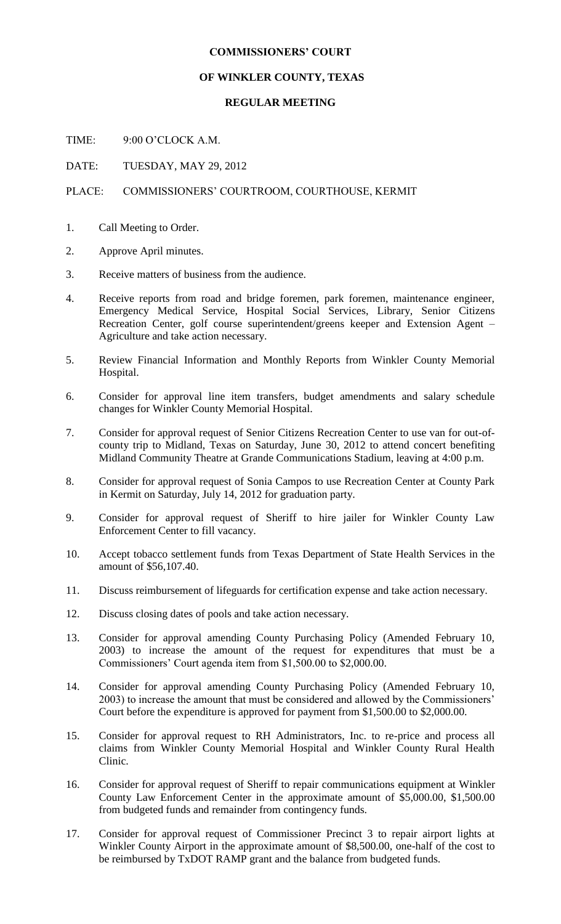## **COMMISSIONERS' COURT**

## **OF WINKLER COUNTY, TEXAS**

## **REGULAR MEETING**

TIME: 9:00 O'CLOCK A.M.

DATE: TUESDAY, MAY 29, 2012

## PLACE: COMMISSIONERS' COURTROOM, COURTHOUSE, KERMIT

- 1. Call Meeting to Order.
- 2. Approve April minutes.
- 3. Receive matters of business from the audience.
- 4. Receive reports from road and bridge foremen, park foremen, maintenance engineer, Emergency Medical Service, Hospital Social Services, Library, Senior Citizens Recreation Center, golf course superintendent/greens keeper and Extension Agent – Agriculture and take action necessary.
- 5. Review Financial Information and Monthly Reports from Winkler County Memorial Hospital.
- 6. Consider for approval line item transfers, budget amendments and salary schedule changes for Winkler County Memorial Hospital.
- 7. Consider for approval request of Senior Citizens Recreation Center to use van for out-ofcounty trip to Midland, Texas on Saturday, June 30, 2012 to attend concert benefiting Midland Community Theatre at Grande Communications Stadium, leaving at 4:00 p.m.
- 8. Consider for approval request of Sonia Campos to use Recreation Center at County Park in Kermit on Saturday, July 14, 2012 for graduation party.
- 9. Consider for approval request of Sheriff to hire jailer for Winkler County Law Enforcement Center to fill vacancy.
- 10. Accept tobacco settlement funds from Texas Department of State Health Services in the amount of \$56,107.40.
- 11. Discuss reimbursement of lifeguards for certification expense and take action necessary.
- 12. Discuss closing dates of pools and take action necessary.
- 13. Consider for approval amending County Purchasing Policy (Amended February 10, 2003) to increase the amount of the request for expenditures that must be a Commissioners' Court agenda item from \$1,500.00 to \$2,000.00.
- 14. Consider for approval amending County Purchasing Policy (Amended February 10, 2003) to increase the amount that must be considered and allowed by the Commissioners' Court before the expenditure is approved for payment from \$1,500.00 to \$2,000.00.
- 15. Consider for approval request to RH Administrators, Inc. to re-price and process all claims from Winkler County Memorial Hospital and Winkler County Rural Health Clinic.
- 16. Consider for approval request of Sheriff to repair communications equipment at Winkler County Law Enforcement Center in the approximate amount of \$5,000.00, \$1,500.00 from budgeted funds and remainder from contingency funds.
- 17. Consider for approval request of Commissioner Precinct 3 to repair airport lights at Winkler County Airport in the approximate amount of \$8,500.00, one-half of the cost to be reimbursed by TxDOT RAMP grant and the balance from budgeted funds.